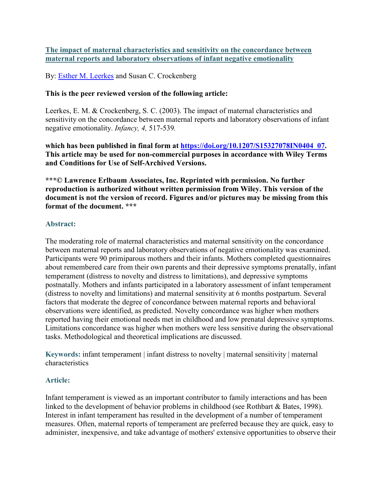**The impact of maternal characteristics and sensitivity on the concordance between maternal reports and laboratory observations of infant negative emotionality**

By: [Esther M. Leerkes](https://libres.uncg.edu/ir/uncg/clist.aspx?id=1186) and Susan C. Crockenberg

## **This is the peer reviewed version of the following article:**

Leerkes, E. M. & Crockenberg, S. C. (2003). The impact of maternal characteristics and sensitivity on the concordance between maternal reports and laboratory observations of infant negative emotionality. *Infancy, 4,* 517-539*.*

**which has been published in final form at [https://doi.org/10.1207/S15327078IN0404\\_07.](https://doi.org/10.1207/S15327078IN0404_07) This article may be used for non-commercial purposes in accordance with Wiley Terms and Conditions for Use of Self-Archived Versions.**

**\*\*\*© Lawrence Erlbaum Associates, Inc. Reprinted with permission. No further reproduction is authorized without written permission from Wiley. This version of the document is not the version of record. Figures and/or pictures may be missing from this format of the document. \*\*\***

### **Abstract:**

The moderating role of maternal characteristics and maternal sensitivity on the concordance between maternal reports and laboratory observations of negative emotionality was examined. Participants were 90 primiparous mothers and their infants. Mothers completed questionnaires about remembered care from their own parents and their depressive symptoms prenatally, infant temperament (distress to novelty and distress to limitations), and depressive symptoms postnatally. Mothers and infants participated in a laboratory assessment of infant temperament (distress to novelty and limitations) and maternal sensitivity at 6 months postpartum. Several factors that moderate the degree of concordance between maternal reports and behavioral observations were identified, as predicted. Novelty concordance was higher when mothers reported having their emotional needs met in childhood and low prenatal depressive symptoms. Limitations concordance was higher when mothers were less sensitive during the observational tasks. Methodological and theoretical implications are discussed.

**Keywords:** infant temperament | infant distress to novelty | maternal sensitivity | maternal characteristics

### **Article:**

Infant temperament is viewed as an important contributor to family interactions and has been linked to the development of behavior problems in childhood (see Rothbart & Bates, 1998). Interest in infant temperament has resulted in the development of a number of temperament measures. Often, maternal reports of temperament are preferred because they are quick, easy to administer, inexpensive, and take advantage of mothers' extensive opportunities to observe their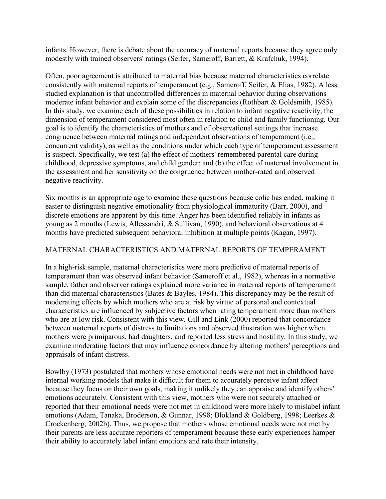infants. However, there is debate about the accuracy of maternal reports because they agree only modestly with trained observers' ratings (Seifer, Sameroff, Barrett, & Krafchuk, 1994).

Often, poor agreement is attributed to maternal bias because maternal characteristics correlate consistently with maternal reports of temperament (e.g., Sameroff, Seifer, & Elias, 1982). A less studied explanation is that uncontrolled differences in maternal behavior during observations moderate infant behavior and explain some of the discrepancies (Rothbart & Goldsmith, 1985). In this study, we examine each of these possibilities in relation to infant negative reactivity, the dimension of temperament considered most often in relation to child and family functioning. Our goal is to identify the characteristics of mothers and of observational settings that increase congruence between maternal ratings and independent observations of temperament (i.e., concurrent validity), as well as the conditions under which each type of temperament assessment is suspect. Specifically, we test (a) the effect of mothers' remembered parental care during childhood, depressive symptoms, and child gender; and (b) the effect of maternal involvement in the assessment and her sensitivity on the congruence between mother-rated and observed negative reactivity.

Six months is an appropriate age to examine these questions because colic has ended, making it easier to distinguish negative emotionality from physiological immaturity (Barr, 2000), and discrete emotions are apparent by this time. Anger has been identified reliably in infants as young as 2 months (Lewis, Allessandri, & Sullivan, 1990), and behavioral observations at 4 months have predicted subsequent behavioral inhibition at multiple points (Kagan, 1997).

## MATERNAL CHARACTERISTICS AND MATERNAL REPORTS OF TEMPERAMENT

In a high-risk sample, maternal characteristics were more predictive of maternal reports of temperament than was observed infant behavior (Sameroff et al., 1982), whereas in a normative sample, father and observer ratings explained more variance in maternal reports of temperament than did maternal characteristics (Bates & Bayles, 1984). This discrepancy may be the result of moderating effects by which mothers who are at risk by virtue of personal and contextual characteristics are influenced by subjective factors when rating temperament more than mothers who are at low risk. Consistent with this view, Gill and Link (2000) reported that concordance between maternal reports of distress to limitations and observed frustration was higher when mothers were primiparous, had daughters, and reported less stress and hostility. In this study, we examine moderating factors that may influence concordance by altering mothers' perceptions and appraisals of infant distress.

Bowlby (1973) postulated that mothers whose emotional needs were not met in childhood have internal working models that make it difficult for them to accurately perceive infant affect because they focus on their own goals, making it unlikely they can appraise and identify others' emotions accurately. Consistent with this view, mothers who were not securely attached or reported that their emotional needs were not met in childhood were more likely to mislabel infant emotions (Adam, Tanaka, Broderson, & Gunnar, 1998; Blokland & Goldberg, 1998; Leerkes & Crockenberg, 2002b). Thus, we propose that mothers whose emotional needs were not met by their parents are less accurate reporters of temperament because these early experiences hamper their ability to accurately label infant emotions and rate their intensity.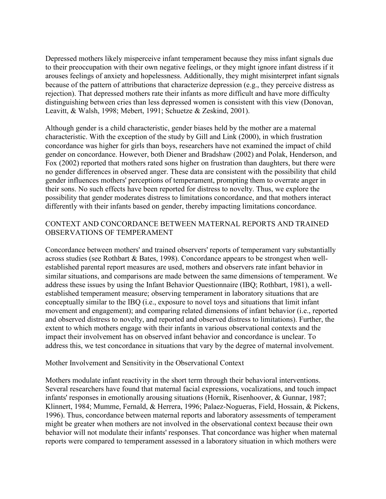Depressed mothers likely misperceive infant temperament because they miss infant signals due to their preoccupation with their own negative feelings, or they might ignore infant distress if it arouses feelings of anxiety and hopelessness. Additionally, they might misinterpret infant signals because of the pattern of attributions that characterize depression (e.g., they perceive distress as rejection). That depressed mothers rate their infants as more difficult and have more difficulty distinguishing between cries than less depressed women is consistent with this view (Donovan, Leavitt, & Walsh, 1998; Mebert, 1991; Schuetze & Zeskind, 2001).

Although gender is a child characteristic, gender biases held by the mother are a maternal characteristic. With the exception of the study by Gill and Link (2000), in which frustration concordance was higher for girls than boys, researchers have not examined the impact of child gender on concordance. However, both Diener and Bradshaw (2002) and Polak, Henderson, and Fox (2002) reported that mothers rated sons higher on frustration than daughters, but there were no gender differences in observed anger. These data are consistent with the possibility that child gender influences mothers' perceptions of temperament, prompting them to overrate anger in their sons. No such effects have been reported for distress to novelty. Thus, we explore the possibility that gender moderates distress to limitations concordance, and that mothers interact differently with their infants based on gender, thereby impacting limitations concordance.

## CONTEXT AND CONCORDANCE BETWEEN MATERNAL REPORTS AND TRAINED OBSERVATIONS OF TEMPERAMENT

Concordance between mothers' and trained observers' reports of temperament vary substantially across studies (see Rothbart & Bates, 1998). Concordance appears to be strongest when wellestablished parental report measures are used, mothers and observers rate infant behavior in similar situations, and comparisons are made between the same dimensions of temperament. We address these issues by using the Infant Behavior Questionnaire (IBQ; Rothbart, 1981), a wellestablished temperament measure; observing temperament in laboratory situations that are conceptually similar to the IBQ (i.e., exposure to novel toys and situations that limit infant movement and engagement); and comparing related dimensions of infant behavior (i.e., reported and observed distress to novelty, and reported and observed distress to limitations). Further, the extent to which mothers engage with their infants in various observational contexts and the impact their involvement has on observed infant behavior and concordance is unclear. To address this, we test concordance in situations that vary by the degree of maternal involvement.

### Mother Involvement and Sensitivity in the Observational Context

Mothers modulate infant reactivity in the short term through their behavioral interventions. Several researchers have found that maternal facial expressions, vocalizations, and touch impact infants' responses in emotionally arousing situations (Hornik, Risenhoover, & Gunnar, 1987; Klinnert, 1984; Mumme, Fernald, & Herrera, 1996; Palaez-Nogueras, Field, Hossain, & Pickens, 1996). Thus, concordance between maternal reports and laboratory assessments of temperament might be greater when mothers are not involved in the observational context because their own behavior will not modulate their infants' responses. That concordance was higher when maternal reports were compared to temperament assessed in a laboratory situation in which mothers were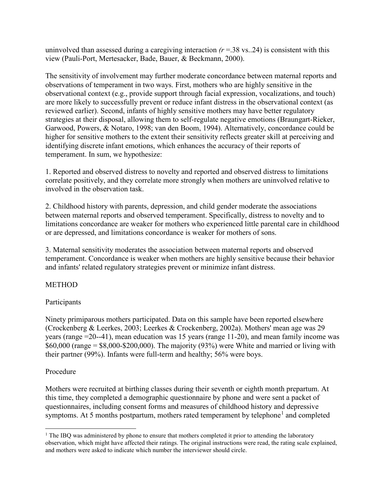uninvolved than assessed during a caregiving interaction  $(r = 0.38 \text{ vs. } 0.24)$  is consistent with this view (Pauli-Port, Mertesacker, Bade, Bauer, & Beckmann, 2000).

The sensitivity of involvement may further moderate concordance between maternal reports and observations of temperament in two ways. First, mothers who are highly sensitive in the observational context (e.g., provide support through facial expression, vocalizations, and touch) are more likely to successfully prevent or reduce infant distress in the observational context (as reviewed earlier). Second, infants of highly sensitive mothers may have better regulatory strategies at their disposal, allowing them to self-regulate negative emotions (Braungart-Rieker, Garwood, Powers, & Notaro, 1998; van den Boom, 1994). Alternatively, concordance could be higher for sensitive mothers to the extent their sensitivity reflects greater skill at perceiving and identifying discrete infant emotions, which enhances the accuracy of their reports of temperament. In sum, we hypothesize:

1. Reported and observed distress to novelty and reported and observed distress to limitations correlate positively, and they correlate more strongly when mothers are uninvolved relative to involved in the observation task.

2. Childhood history with parents, depression, and child gender moderate the associations between maternal reports and observed temperament. Specifically, distress to novelty and to limitations concordance are weaker for mothers who experienced little parental care in childhood or are depressed, and limitations concordance is weaker for mothers of sons.

3. Maternal sensitivity moderates the association between maternal reports and observed temperament. Concordance is weaker when mothers are highly sensitive because their behavior and infants' related regulatory strategies prevent or minimize infant distress.

# METHOD

# Participants

Ninety primiparous mothers participated. Data on this sample have been reported elsewhere (Crockenberg & Leerkes, 2003; Leerkes & Crockenberg, 2002a). Mothers' mean age was 29 years (range =20--41), mean education was 15 years (range 11-20), and mean family income was  $$60,000$  (range =  $$8,000-S200,000$ ). The majority (93%) were White and married or living with their partner (99%). Infants were full-term and healthy; 56% were boys.

# Procedure

Mothers were recruited at birthing classes during their seventh or eighth month prepartum. At this time, they completed a demographic questionnaire by phone and were sent a packet of questionnaires, including consent forms and measures of childhood history and depressive symptoms. At 5 months postpartum, mothers rated temperament by telephone<sup>[1](#page-3-0)</sup> and completed

<span id="page-3-0"></span>l  $<sup>1</sup>$  The IBO was administered by phone to ensure that mothers completed it prior to attending the laboratory</sup> observation, which might have affected their ratings. The original instructions were read, the rating scale explained, and mothers were asked to indicate which number the interviewer should circle.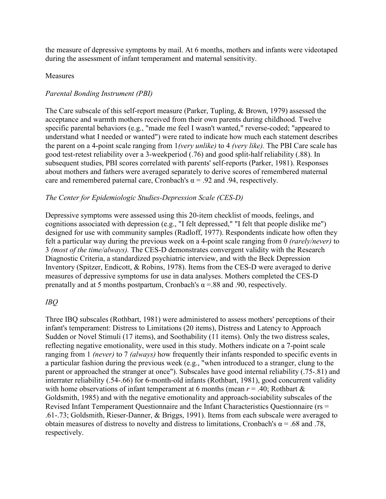the measure of depressive symptoms by mail. At 6 months, mothers and infants were videotaped during the assessment of infant temperament and maternal sensitivity.

## Measures

# *Parental Bonding Instrument (PBI)*

The Care subscale of this self-report measure (Parker, Tupling, & Brown, 1979) assessed the acceptance and warmth mothers received from their own parents during childhood. Twelve specific parental behaviors (e.g., "made me feel I wasn't wanted," reverse-coded; "appeared to understand what I needed or wanted") were rated to indicate how much each statement describes the parent on a 4-point scale ranging from 1*(very unlike)* to 4 *(very like).* The PBI Care scale has good test-retest reliability over a 3-weekperiod (.76) and good split-half reliability (.88). In subsequent studies, PBI scores correlated with parents' self-reports (Parker, 1981). Responses about mothers and fathers were averaged separately to derive scores of remembered maternal care and remembered paternal care, Cronbach's  $\alpha$  = .92 and .94, respectively.

# *The Center for Epidemiologic Studies-Depression Scale (CES-D)*

Depressive symptoms were assessed using this 20-item checklist of moods, feelings, and cognitions associated with depression (e.g., "I felt depressed," "I felt that people dislike me") designed for use with community samples (Radloff, 1977). Respondents indicate how often they felt a particular way during the previous week on a 4-point scale ranging from 0 *(rarely/never)* to 3 *(most of the time/always).* The CES-D demonstrates convergent validity with the Research Diagnostic Criteria, a standardized psychiatric interview, and with the Beck Depression Inventory (Spitzer, Endicott, & Robins, 1978). Items from the CES-D were averaged to derive measures of depressive symptoms for use in data analyses. Mothers completed the CES-D prenatally and at 5 months postpartum, Cronbach's  $\alpha$  =.88 and .90, respectively.

# *IBQ*

Three IBQ subscales (Rothbart, 1981) were administered to assess mothers' perceptions of their infant's temperament: Distress to Limitations (20 items), Distress and Latency to Approach Sudden or Novel Stimuli (17 items), and Soothability (11 items). Only the two distress scales, reflecting negative emotionality, were used in this study. Mothers indicate on a 7-point scale ranging from 1 *(never)* to 7 *(always)* how frequently their infants responded to specific events in a particular fashion during the previous week (e.g., "when introduced to a stranger, clung to the parent or approached the stranger at once"). Subscales have good internal reliability (.75-.81) and interrater reliability (.54-.66) for 6-month-old infants (Rothbart, 1981), good concurrent validity with home observations of infant temperament at 6 months (mean  $r = .40$ ; Rothbart & Goldsmith, 1985) and with the negative emotionality and approach-sociability subscales of the Revised Infant Temperament Questionnaire and the Infant Characteristics Questionnaire (rs = .61-.73; Goldsmith, Rieser-Danner, & Briggs, 1991). Items from each subscale were averaged to obtain measures of distress to novelty and distress to limitations, Cronbach's  $\alpha$  = .68 and .78, respectively.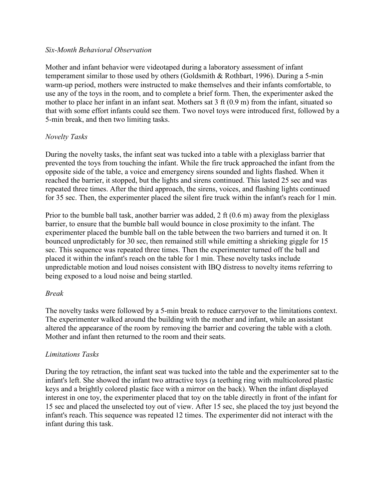### *Six-Month Behavioral Observation*

Mother and infant behavior were videotaped during a laboratory assessment of infant temperament similar to those used by others (Goldsmith & Rothbart, 1996). During a 5-min warm-up period, mothers were instructed to make themselves and their infants comfortable, to use any of the toys in the room, and to complete a brief form. Then, the experimenter asked the mother to place her infant in an infant seat. Mothers sat 3 ft (0.9 m) from the infant, situated so that with some effort infants could see them. Two novel toys were introduced first, followed by a 5-min break, and then two limiting tasks.

# *Novelty Tasks*

During the novelty tasks, the infant seat was tucked into a table with a plexiglass barrier that prevented the toys from touching the infant. While the fire truck approached the infant from the opposite side of the table, a voice and emergency sirens sounded and lights flashed. When it reached the barrier, it stopped, but the lights and sirens continued. This lasted 25 sec and was repeated three times. After the third approach, the sirens, voices, and flashing lights continued for 35 sec. Then, the experimenter placed the silent fire truck within the infant's reach for 1 min.

Prior to the bumble ball task, another barrier was added, 2 ft (0.6 m) away from the plexiglass barrier, to ensure that the bumble ball would bounce in close proximity to the infant. The experimenter placed the bumble ball on the table between the two barriers and turned it on. It bounced unpredictably for 30 sec, then remained still while emitting a shrieking giggle for 15 sec. This sequence was repeated three times. Then the experimenter turned off the ball and placed it within the infant's reach on the table for 1 min. These novelty tasks include unpredictable motion and loud noises consistent with IBQ distress to novelty items referring to being exposed to a loud noise and being startled.

# *Break*

The novelty tasks were followed by a 5-min break to reduce carryover to the limitations context. The experimenter walked around the building with the mother and infant, while an assistant altered the appearance of the room by removing the barrier and covering the table with a cloth. Mother and infant then returned to the room and their seats.

# *Limitations Tasks*

During the toy retraction, the infant seat was tucked into the table and the experimenter sat to the infant's left. She showed the infant two attractive toys (a teething ring with multicolored plastic keys and a brightly colored plastic face with a mirror on the back). When the infant displayed interest in one toy, the experimenter placed that toy on the table directly in front of the infant for 15 sec and placed the unselected toy out of view. After 15 sec, she placed the toy just beyond the infant's reach. This sequence was repeated 12 times. The experimenter did not interact with the infant during this task.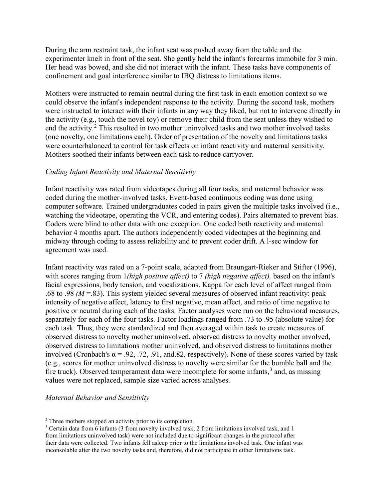During the arm restraint task, the infant seat was pushed away from the table and the experimenter knelt in front of the seat. She gently held the infant's forearms immobile for 3 min. Her head was bowed, and she did not interact with the infant. These tasks have components of confinement and goal interference similar to IBQ distress to limitations items.

Mothers were instructed to remain neutral during the first task in each emotion context so we could observe the infant's independent response to the activity. During the second task, mothers were instructed to interact with their infants in any way they liked, but not to intervene directly in the activity (e.g., touch the novel toy) or remove their child from the seat unless they wished to end the activity.<sup>[2](#page-6-0)</sup> This resulted in two mother uninvolved tasks and two mother involved tasks (one novelty, one limitations each). Order of presentation of the novelty and limitations tasks were counterbalanced to control for task effects on infant reactivity and maternal sensitivity. Mothers soothed their infants between each task to reduce carryover.

## *Coding Infant Reactivity and Maternal Sensitivity*

Infant reactivity was rated from videotapes during all four tasks, and maternal behavior was coded during the mother-involved tasks. Event-based continuous coding was done using computer software. Trained undergraduates coded in pairs given the multiple tasks involved (i.e., watching the videotape, operating the VCR, and entering codes). Pairs alternated to prevent bias. Coders were blind to other data with one exception. One coded both reactivity and maternal behavior 4 months apart. The authors independently coded videotapes at the beginning and midway through coding to assess reliability and to prevent coder drift. A l-sec window for agreement was used.

Infant reactivity was rated on a 7-point scale, adapted from Braungart-Rieker and Stifter (1996), with scores ranging from 1*(high positive affect)* to 7 *(high negative affect),* based on the infant's facial expressions, body tension, and vocalizations. Kappa for each level of affect ranged from .68 to .98 *(M* =.83). This system yielded several measures of observed infant reactivity: peak intensity of negative affect, latency to first negative, mean affect, and ratio of time negative to positive or neutral during each of the tasks. Factor analyses were run on the behavioral measures, separately for each of the four tasks. Factor loadings ranged from .73 to .95 (absolute value) for each task. Thus, they were standardized and then averaged within task to create measures of observed distress to novelty mother uninvolved, observed distress to novelty mother involved, observed distress to limitations mother uninvolved, and observed distress to limitations mother involved (Cronbach's  $\alpha = .92, .72, .91, \text{ and } .82, \text{ respectively.}$ ). None of these scores varied by task (e.g., scores for mother uninvolved distress to novelty were similar for the bumble ball and the fire truck). Observed temperament data were incomplete for some infants,  $3$  and, as missing values were not replaced, sample size varied across analyses.

### *Maternal Behavior and Sensitivity*

 $\overline{\phantom{a}}$ 

<span id="page-6-0"></span><sup>&</sup>lt;sup>2</sup> Three mothers stopped an activity prior to its completion.

<span id="page-6-1"></span><sup>3</sup> Certain data from 6 infants (3 from novelty involved task, 2 from limitations involved task, and 1 from limitations uninvolved task) were not included due to significant changes in the protocol after their data were collected. Two infants fell asleep prior to the limitations involved task. One infant was inconsolable after the two novelty tasks and, therefore, did not participate in either limitations task.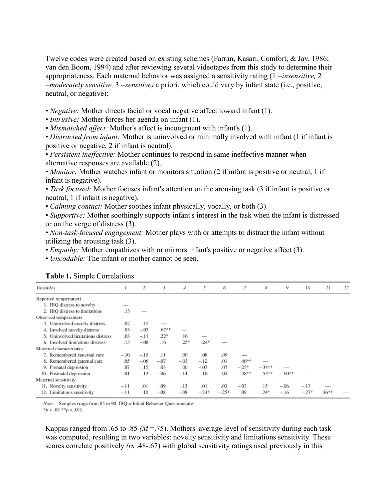Twelve codes were created based on existing schemes (Farran, Kasari, Comfort, & Jay, 1986; van den Boom, 1994) and after reviewing several videotapes from this study to determine their appropriateness. Each maternal behavior was assigned a sensitivity rating (1 =*insensitive,* 2 =*moderately sensitive,* 3 =*sensitive)* a priori, which could vary by infant state (i.e., positive, neutral, or negative):

• *Negative:* Mother directs facial or vocal negative affect toward infant (1).

• *Intrusive:* Mother forces her agenda on infant (1).

*• Mismatched affect:* Mother's affect is incongruent with infant's (1).

*• Distracted from infant:* Mother is uninvolved or minimally involved with infant (1 if infant is positive or negative, 2 if infant is neutral).

*• Persistent ineffective:* Mother continues to respond in same ineffective manner when alternative responses are available (2).

• *Monitor*: Mother watches infant or monitors situation (2 if infant is positive or neutral, 1 if infant is negative).

*• Task focused:* Mother focuses infant's attention on the arousing task (3 if infant is positive or neutral, 1 if infant is negative).

*• Calming contact:* Mother soothes infant physically, vocally, or both (3).

*• Supportive:* Mother soothingly supports infant's interest in the task when the infant is distressed or on the verge of distress (3).

*• Non-task-focused engagement:* Mother plays with or attempts to distract the infant without utilizing the arousing task (3).

• *Empathy:* Mother empathizes with or mirrors infant's positive or negative affect (3).

*• Uncodable:* The infant or mother cannot be seen.

Variables  $\bar{I}$  $\overline{2}$  $\mathfrak{Z}$  $\overline{4}$ 5 6  $\overline{7}$ 8  $\overline{Q}$ 10  $II$  $12$ Reported temperament 1. IBO distress to novelty 2. IBO distress to limitations  $.13$ Observed temperament .07  $.15$ 3. Uninvolved novelty distress .03  $-.03$  $.67**$ 4. Involved novelty distress  $\overline{\phantom{0}}$  $.22*$ 5. Uninvolved limitations distress  $03$  $-.11$  $.16$ 6. Involved limitations distress  $.13$  $-.08$  $.16$  $.25*$  $.24*$ Maternal characteristics  $-10$  $-.15$  $.00<sub>1</sub>$ .08 .09 7. Remembered maternal care  $.11$ 8. Remembered paternal care .05  $-.06$  $-.07$  $-.03$  $-.12$  $.01$  $.46**$ 9. Prenatal depression .07  $.15$ .03  $.00.$  $-.03$ .07  $-.25*$  $-.34**$  $.60**$ 10. Postnatal depression  $-38**$  $-.53**$ .01  $.13$  $-06$  $-.14$  $.10$ .04 Maternal sensitivity 11. Novelty sensitivity  $-11$ .01 .09  $.13$ .01 .03  $-.03$  $.15$  $-.06$  $-17$ 12. Limitations sensitivity  $-.11$  $.10$  $-08$  $-.08$  $-.24*$  $-.25*$ .09  $.24*$  $-.27*$  $.36**$  $-16$ 

**Table 1.** Simple Correlations

Note. Samples range from 85 to 90. IBQ = Infant Behavior Questionnaire.

 ${}^*p$  < .05  ${}^*{}^*p$  < .001.

Kappas ranged from .65 to .85  $(M = .75)$ . Mothers' average level of sensitivity during each task was computed, resulting in two variables: novelty sensitivity and limitations sensitivity. These scores correlate positively *(rs* .48-.67) with global sensitivity ratings used previously in this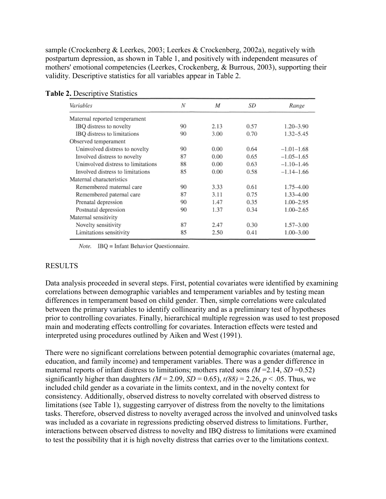sample (Crockenberg & Leerkes, 2003; Leerkes & Crockenberg, 2002a), negatively with postpartum depression, as shown in Table 1, and positively with independent measures of mothers' emotional competencies (Leerkes, Crockenberg, & Burrous, 2003), supporting their validity. Descriptive statistics for all variables appear in Table 2.

| Variables                          | N  | M    | SD   | Range          |  |
|------------------------------------|----|------|------|----------------|--|
| Maternal reported temperament      |    |      |      |                |  |
| IBQ distress to novelty            | 90 | 2.13 | 0.57 | $1.20 - 3.90$  |  |
| IBQ distress to limitations        | 90 | 3.00 | 0.70 | 1.32-5.45      |  |
| Observed temperament               |    |      |      |                |  |
| Uninvolved distress to novelty     | 90 | 0.00 | 0.64 | $-1.01 - 1.68$ |  |
| Involved distress to novelty       | 87 | 0.00 | 0.65 | $-1.05-1.65$   |  |
| Uninvolved distress to limitations | 88 | 0.00 | 0.63 | $-1.10-1.46$   |  |
| Involved distress to limitations   | 85 | 0.00 | 0.58 | $-1.14 - 1.66$ |  |
| Maternal characteristics           |    |      |      |                |  |
| Remembered maternal care           | 90 | 3.33 | 0.61 | 1.75–4.00      |  |
| Remembered paternal care           | 87 | 3.11 | 0.75 | 1.33-4.00      |  |
| Prenatal depression                | 90 | 1.47 | 0.35 | 1.00-2.95      |  |
| Postnatal depression               | 90 | 1.37 | 0.34 | 1.00-2.65      |  |
| Maternal sensitivity               |    |      |      |                |  |
| Novelty sensitivity                | 87 | 2.47 | 0.30 | $1.57 - 3.00$  |  |
| Limitations sensitivity            | 85 | 2.50 | 0.41 | 1.00-3.00      |  |

**Table 2. Descriptive Statistics** 

Note. IBQ = Infant Behavior Questionnaire.

### RESULTS

Data analysis proceeded in several steps. First, potential covariates were identified by examining correlations between demographic variables and temperament variables and by testing mean differences in temperament based on child gender. Then, simple correlations were calculated between the primary variables to identify collinearity and as a preliminary test of hypotheses prior to controlling covariates. Finally, hierarchical multiple regression was used to test proposed main and moderating effects controlling for covariates. Interaction effects were tested and interpreted using procedures outlined by Aiken and West (1991).

There were no significant correlations between potential demographic covariates (maternal age, education, and family income) and temperament variables. There was a gender difference in maternal reports of infant distress to limitations; mothers rated sons  $(M=2.14, SD=0.52)$ significantly higher than daughters  $(M = 2.09, SD = 0.65)$ ,  $t(88) = 2.26, p < .05$ . Thus, we included child gender as a covariate in the limits context, and in the novelty context for consistency. Additionally, observed distress to novelty correlated with observed distress to limitations (see Table 1), suggesting carryover of distress from the novelty to the limitations tasks. Therefore, observed distress to novelty averaged across the involved and uninvolved tasks was included as a covariate in regressions predicting observed distress to limitations. Further, interactions between observed distress to novelty and IBQ distress to limitations were examined to test the possibility that it is high novelty distress that carries over to the limitations context.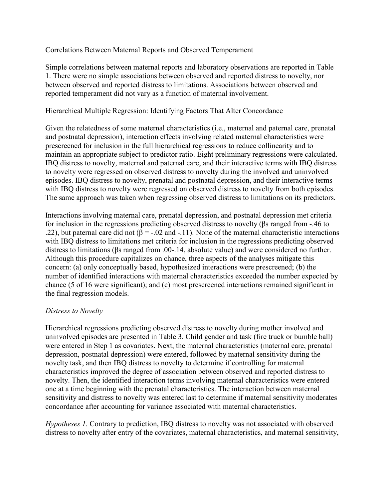## Correlations Between Maternal Reports and Observed Temperament

Simple correlations between maternal reports and laboratory observations are reported in Table 1. There were no simple associations between observed and reported distress to novelty, nor between observed and reported distress to limitations. Associations between observed and reported temperament did not vary as a function of maternal involvement.

## Hierarchical Multiple Regression: Identifying Factors That Alter Concordance

Given the relatedness of some maternal characteristics (i.e., maternal and paternal care, prenatal and postnatal depression), interaction effects involving related maternal characteristics were prescreened for inclusion in the full hierarchical regressions to reduce collinearity and to maintain an appropriate subject to predictor ratio. Eight preliminary regressions were calculated. IBQ distress to novelty, maternal and paternal care, and their interactive terms with IBQ distress to novelty were regressed on observed distress to novelty during the involved and uninvolved episodes. IBQ distress to novelty, prenatal and postnatal depression, and their interactive terms with IBQ distress to novelty were regressed on observed distress to novelty from both episodes. The same approach was taken when regressing observed distress to limitations on its predictors.

Interactions involving maternal care, prenatal depression, and postnatal depression met criteria for inclusion in the regressions predicting observed distress to novelty (βs ranged from -.46 to .22), but paternal care did not ( $\beta$  = -.02 and -.11). None of the maternal characteristic interactions with IBQ distress to limitations met criteria for inclusion in the regressions predicting observed distress to limitations (βs ranged from .00-.14, absolute value) and were considered no further. Although this procedure capitalizes on chance, three aspects of the analyses mitigate this concern: (a) only conceptually based, hypothesized interactions were prescreened; (b) the number of identified interactions with maternal characteristics exceeded the number expected by chance (5 of 16 were significant); and (c) most prescreened interactions remained significant in the final regression models.

# *Distress to Novelty*

Hierarchical regressions predicting observed distress to novelty during mother involved and uninvolved episodes are presented in Table 3. Child gender and task (fire truck or bumble ball) were entered in Step 1 as covariates. Next, the maternal characteristics (maternal care, prenatal depression, postnatal depression) were entered, followed by maternal sensitivity during the novelty task, and then IBQ distress to novelty to determine if controlling for maternal characteristics improved the degree of association between observed and reported distress to novelty. Then, the identified interaction terms involving maternal characteristics were entered one at a time beginning with the prenatal characteristics. The interaction between maternal sensitivity and distress to novelty was entered last to determine if maternal sensitivity moderates concordance after accounting for variance associated with maternal characteristics.

*Hypotheses 1.* Contrary to prediction, IBQ distress to novelty was not associated with observed distress to novelty after entry of the covariates, maternal characteristics, and maternal sensitivity,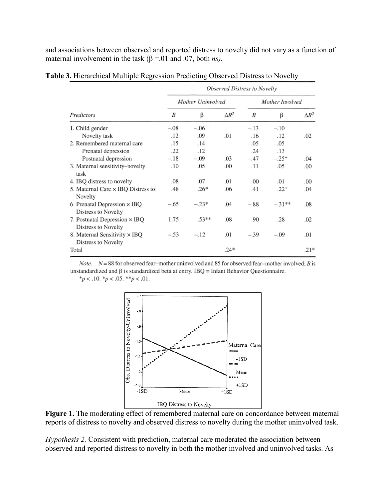and associations between observed and reported distress to novelty did not vary as a function of maternal involvement in the task  $(\beta = .01$  and  $.07$ , both *ns*).

| Predictors                                           | Observed Distress to Novelty |         |              |                 |           |              |  |
|------------------------------------------------------|------------------------------|---------|--------------|-----------------|-----------|--------------|--|
|                                                      | Mother Uninvolved            |         |              | Mother Involved |           |              |  |
|                                                      | B                            | β       | $\Delta R^2$ | B               | β         | $\Delta R^2$ |  |
| 1. Child gender                                      | $-.08$                       | $-.06$  |              | $-.13$          | $-.10$    |              |  |
| Novelty task                                         | .12                          | .09     | .01          | .16             | .12       | .02          |  |
| 2. Remembered maternal care                          | .15                          | .14     |              | $-.05$          | $-.05$    |              |  |
| Prenatal depression                                  | .22                          | .12     |              | .24             | .13       |              |  |
| Postnatal depression                                 | $-.18$                       | $-.09$  | .03          | $-.47$          | $-.25+$   | .04          |  |
| 3. Maternal sensitivity-novelty<br>task              | .10                          | .05     | .00          | .11             | .05       | .00          |  |
| 4. IBQ distress to novelty                           | .08                          | .07     | .01          | .00             | .01       | .00          |  |
| 5. Maternal Care × IBQ Distress to<br>Novelty        | .48                          | $.26*$  | .06          | .41             | $.22^{+}$ | .04          |  |
| 6. Prenatal Depression × IBQ<br>Distress to Novelty  | $-.65$                       | $-.23*$ | .04          | $-.88$          | $-.31***$ | .08          |  |
| 7. Postnatal Depression × IBQ<br>Distress to Novelty | 1.75                         | $.53**$ | .08          | .90             | .28       | .02          |  |
| 8. Maternal Sensitivity × IBQ<br>Distress to Novelty | $-.53$                       | $-.12$  | .01          | $-.39$          | $-.09$    | .01          |  |
| Total                                                |                              |         | $.24*$       |                 |           | $.21*$       |  |

**Table 3.** Hierarchical Multiple Regression Predicting Observed Distress to Novelty

Note.  $N = 88$  for observed fear-mother uninvolved and 85 for observed fear-mother involved; B is unstandardized and  $\beta$  is standardized beta at entry. IBQ = Infant Behavior Questionnaire.

 $p < .10.$  \* $p < .05.$  \*\* $p < .01$ .



Figure 1. The moderating effect of remembered maternal care on concordance between maternal reports of distress to novelty and observed distress to novelty during the mother uninvolved task.

*Hypothesis 2.* Consistent with prediction, maternal care moderated the association between observed and reported distress to novelty in both the mother involved and uninvolved tasks. As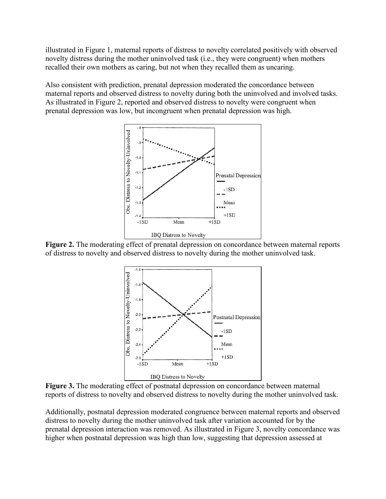illustrated in Figure 1, maternal reports of distress to novelty correlated positively with observed novelty distress during the mother uninvolved task (i.e., they were congruent) when mothers recalled their own mothers as caring, but not when they recalled them as uncaring.

Also consistent with prediction, prenatal depression moderated the concordance between maternal reports and observed distress to novelty during both the uninvolved and involved tasks. As illustrated in Figure 2, reported and observed distress to novelty were congruent when prenatal depression was low, but incongruent when prenatal depression was high.



**Figure 2.** The moderating effect of prenatal depression on concordance between maternal reports of distress to novelty and observed distress to novelty during the mother uninvolved task.



**Figure 3.** The moderating effect of postnatal depression on concordance between maternal reports of distress to novelty and observed distress to novelty during the mother uninvolved task.

Additionally, postnatal depression moderated congruence between maternal reports and observed distress to novelty during the mother uninvolved task after variation accounted for by the prenatal depression interaction was removed. As illustrated in Figure 3, novelty concordance was higher when postnatal depression was high than low, suggesting that depression assessed at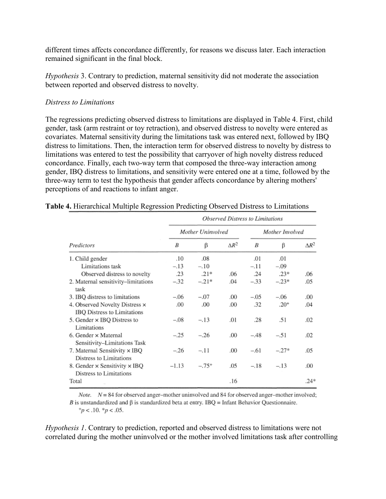different times affects concordance differently, for reasons we discuss later. Each interaction remained significant in the final block.

*Hypothesis* 3. Contrary to prediction, maternal sensitivity did not moderate the association between reported and observed distress to novelty.

## *Distress to Limitations*

The regressions predicting observed distress to limitations are displayed in Table 4. First, child gender, task (arm restraint or toy retraction), and observed distress to novelty were entered as covariates. Maternal sensitivity during the limitations task was entered next, followed by IBQ distress to limitations. Then, the interaction term for observed distress to novelty by distress to limitations was entered to test the possibility that carryover of high novelty distress reduced concordance. Finally, each two-way term that composed the three-way interaction among gender, IBQ distress to limitations, and sensitivity were entered one at a time, followed by the three-way term to test the hypothesis that gender affects concordance by altering mothers' perceptions of and reactions to infant anger.

| Predictors                                                    | <b>Observed Distress to Limitations</b> |         |              |                 |         |              |  |
|---------------------------------------------------------------|-----------------------------------------|---------|--------------|-----------------|---------|--------------|--|
|                                                               | Mother Uninvolved                       |         |              | Mother Involved |         |              |  |
|                                                               | B                                       | β       | $\Delta R^2$ | B               | β       | $\Delta R^2$ |  |
| 1. Child gender                                               | .10                                     | .08     |              | .01             | .01     |              |  |
| Limitations task                                              | $-.13$                                  | $-.10$  |              | $-.11$          | $-.09$  |              |  |
| Observed distress to novelty                                  | .23                                     | $.21*$  | .06          | .24             | $.23*$  | .06          |  |
| 2. Maternal sensitivity-limitations<br>task                   | $-.32$                                  | $-.21*$ | .04          | $-.33$          | $-.23*$ | .05          |  |
| 3. IBQ distress to limitations                                | $-.06$                                  | $-.07$  | .00          | $-.05$          | $-.06$  | .00          |  |
| 4. Observed Novelty Distress ×<br>IBQ Distress to Limitations | .00                                     | .00     | .00          | .32             | $.20+$  | .04          |  |
| 5. Gender × IBQ Distress to<br>Limitations                    | $-.08$                                  | $-.13$  | .01          | .28             | .51     | .02          |  |
| 6. Gender $\times$ Maternal<br>Sensitivity-Limitations Task   | $-.25$                                  | $-.26$  | .00          | $-.48$          | $-.51$  | .02          |  |
| 7. Maternal Sensitivity x IBQ<br>Distress to Limitations      | $-.26$                                  | $-.11$  | .00          | $-.61$          | $-.27*$ | .05          |  |
| 8. Gender × Sensitivity × IBQ<br>Distress to Limitations      | $-1.13$                                 | $-.75+$ | .05          | $-.18$          | $-.13$  | .00          |  |
| Total                                                         |                                         |         | .16          |                 |         | $.24*$       |  |

*Note.*  $N = 84$  for observed anger-mother uninvolved and 84 for observed anger-mother involved; B is unstandardized and  $\beta$  is standardized beta at entry. IBQ = Infant Behavior Questionnaire.  $p < .10.$  \* $p < .05$ .

*Hypothesis 1*. Contrary to prediction, reported and observed distress to limitations were not correlated during the mother uninvolved or the mother involved limitations task after controlling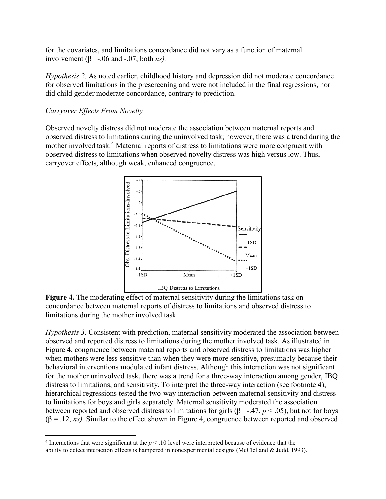for the covariates, and limitations concordance did not vary as a function of maternal involvement ( $β = -.06$  and  $-.07$ , both *ns*).

*Hypothesis 2.* As noted earlier, childhood history and depression did not moderate concordance for observed limitations in the prescreening and were not included in the final regressions, nor did child gender moderate concordance, contrary to prediction.

## *Carryover Effects From Novelty*

l

Observed novelty distress did not moderate the association between maternal reports and observed distress to limitations during the uninvolved task; however, there was a trend during the mother involved task.<sup>[4](#page-13-0)</sup> Maternal reports of distress to limitations were more congruent with observed distress to limitations when observed novelty distress was high versus low. Thus, carryover effects, although weak, enhanced congruence.



**Figure 4.** The moderating effect of maternal sensitivity during the limitations task on concordance between maternal reports of distress to limitations and observed distress to limitations during the mother involved task.

*Hypothesis 3.* Consistent with prediction, maternal sensitivity moderated the association between observed and reported distress to limitations during the mother involved task. As illustrated in Figure 4, congruence between maternal reports and observed distress to limitations was higher when mothers were less sensitive than when they were more sensitive, presumably because their behavioral interventions modulated infant distress. Although this interaction was not significant for the mother uninvolved task, there was a trend for a three-way interaction among gender, IBQ distress to limitations, and sensitivity. To interpret the three-way interaction (see footnote 4), hierarchical regressions tested the two-way interaction between maternal sensitivity and distress to limitations for boys and girls separately. Maternal sensitivity moderated the association between reported and observed distress to limitations for girls (β =-.47, *p* < .05), but not for boys  $(\beta = .12, ns)$ . Similar to the effect shown in Figure 4, congruence between reported and observed

<span id="page-13-0"></span><sup>&</sup>lt;sup>4</sup> Interactions that were significant at the  $p < 0.10$  level were interpreted because of evidence that the ability to detect interaction effects is hampered in nonexperimental designs (McClelland & Judd, 1993).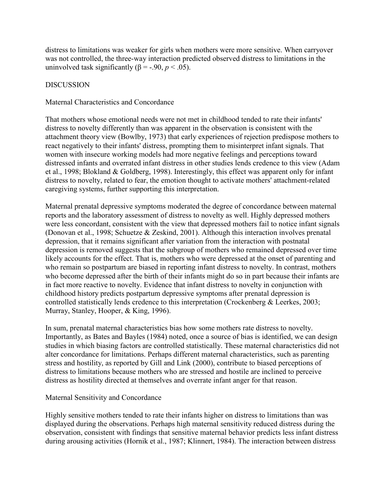distress to limitations was weaker for girls when mothers were more sensitive. When carryover was not controlled, the three-way interaction predicted observed distress to limitations in the uninvolved task significantly ( $β = -.90, p < .05$ ).

## DISCUSSION

### Maternal Characteristics and Concordance

That mothers whose emotional needs were not met in childhood tended to rate their infants' distress to novelty differently than was apparent in the observation is consistent with the attachment theory view (Bowlby, 1973) that early experiences of rejection predispose mothers to react negatively to their infants' distress, prompting them to misinterpret infant signals. That women with insecure working models had more negative feelings and perceptions toward distressed infants and overrated infant distress in other studies lends credence to this view (Adam et al., 1998; Blokland & Goldberg, 1998). Interestingly, this effect was apparent only for infant distress to novelty, related to fear, the emotion thought to activate mothers' attachment-related caregiving systems, further supporting this interpretation.

Maternal prenatal depressive symptoms moderated the degree of concordance between maternal reports and the laboratory assessment of distress to novelty as well. Highly depressed mothers were less concordant, consistent with the view that depressed mothers fail to notice infant signals (Donovan et al., 1998; Schuetze & Zeskind, 2001). Although this interaction involves prenatal depression, that it remains significant after variation from the interaction with postnatal depression is removed suggests that the subgroup of mothers who remained depressed over time likely accounts for the effect. That is, mothers who were depressed at the onset of parenting and who remain so postpartum are biased in reporting infant distress to novelty. In contrast, mothers who become depressed after the birth of their infants might do so in part because their infants are in fact more reactive to novelty. Evidence that infant distress to novelty in conjunction with childhood history predicts postpartum depressive symptoms after prenatal depression is controlled statistically lends credence to this interpretation (Crockenberg & Leerkes, 2003; Murray, Stanley, Hooper, & King, 1996).

In sum, prenatal maternal characteristics bias how some mothers rate distress to novelty. Importantly, as Bates and Bayles (1984) noted, once a source of bias is identified, we can design studies in which biasing factors are controlled statistically. These maternal characteristics did not alter concordance for limitations. Perhaps different maternal characteristics, such as parenting stress and hostility, as reported by Gill and Link (2000), contribute to biased perceptions of distress to limitations because mothers who are stressed and hostile are inclined to perceive distress as hostility directed at themselves and overrate infant anger for that reason.

### Maternal Sensitivity and Concordance

Highly sensitive mothers tended to rate their infants higher on distress to limitations than was displayed during the observations. Perhaps high maternal sensitivity reduced distress during the observation, consistent with findings that sensitive maternal behavior predicts less infant distress during arousing activities (Hornik et al., 1987; Klinnert, 1984). The interaction between distress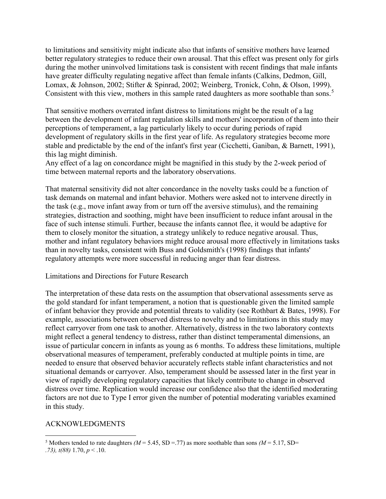to limitations and sensitivity might indicate also that infants of sensitive mothers have learned better regulatory strategies to reduce their own arousal. That this effect was present only for girls during the mother uninvolved limitations task is consistent with recent findings that male infants have greater difficulty regulating negative affect than female infants (Calkins, Dedmon, Gill, Lomax, & Johnson, 2002; Stifter & Spinrad, 2002; Weinberg, Tronick, Cohn, & Olson, 1999). Consistent with this view, mothers in this sample rated daughters as more soothable than sons.<sup>[5](#page-15-0)</sup>

That sensitive mothers overrated infant distress to limitations might be the result of a lag between the development of infant regulation skills and mothers' incorporation of them into their perceptions of temperament, a lag particularly likely to occur during periods of rapid development of regulatory skills in the first year of life. As regulatory strategies become more stable and predictable by the end of the infant's first year (Cicchetti, Ganiban, & Barnett, 1991), this lag might diminish.

Any effect of a lag on concordance might be magnified in this study by the 2-week period of time between maternal reports and the laboratory observations.

That maternal sensitivity did not alter concordance in the novelty tasks could be a function of task demands on maternal and infant behavior. Mothers were asked not to intervene directly in the task (e.g., move infant away from or turn off the aversive stimulus), and the remaining strategies, distraction and soothing, might have been insufficient to reduce infant arousal in the face of such intense stimuli. Further, because the infants cannot flee, it would be adaptive for them to closely monitor the situation, a strategy unlikely to reduce negative arousal. Thus, mother and infant regulatory behaviors might reduce arousal more effectively in limitations tasks than in novelty tasks, consistent with Buss and Goldsmith's (1998) findings that infants' regulatory attempts were more successful in reducing anger than fear distress.

#### Limitations and Directions for Future Research

The interpretation of these data rests on the assumption that observational assessments serve as the gold standard for infant temperament, a notion that is questionable given the limited sample of infant behavior they provide and potential threats to validity (see Rothbart & Bates, 1998). For example, associations between observed distress to novelty and to limitations in this study may reflect carryover from one task to another. Alternatively, distress in the two laboratory contexts might reflect a general tendency to distress, rather than distinct temperamental dimensions, an issue of particular concern in infants as young as 6 months. To address these limitations, multiple observational measures of temperament, preferably conducted at multiple points in time, are needed to ensure that observed behavior accurately reflects stable infant characteristics and not situational demands or carryover. Also, temperament should be assessed later in the first year in view of rapidly developing regulatory capacities that likely contribute to change in observed distress over time. Replication would increase our confidence also that the identified moderating factors are not due to Type I error given the number of potential moderating variables examined in this study.

#### ACKNOWLEDGMENTS

l

<span id="page-15-0"></span><sup>&</sup>lt;sup>5</sup> Mothers tended to rate daughters *(M* = 5.45, SD = .77) as more soothable than sons *(M* = 5.17, SD=

*<sup>.73),</sup> t(88)* 1.70, *p* < .10.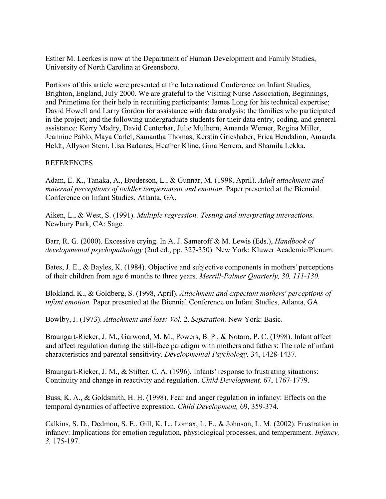Esther M. Leerkes is now at the Department of Human Development and Family Studies, University of North Carolina at Greensboro.

Portions of this article were presented at the International Conference on Infant Studies, Brighton, England, July 2000. We are grateful to the Visiting Nurse Association, Beginnings, and Primetime for their help in recruiting participants; James Long for his technical expertise; David Howell and Larry Gordon for assistance with data analysis; the families who participated in the project; and the following undergraduate students for their data entry, coding, and general assistance: Kerry Madry, David Centerbar, Julie Mulhern, Amanda Werner, Regina Miller, Jeannine Pablo, Maya Carlet, Samantha Thomas, Kerstin Grieshaber, Erica Hendalion, Amanda Heldt, Allyson Stern, Lisa Badanes, Heather Kline, Gina Berrera, and Shamila Lekka.

## REFERENCES

Adam, E. K., Tanaka, A., Broderson, L., & Gunnar, M. (1998, April). *Adult attachment and maternal perceptions of toddler temperament and emotion.* Paper presented at the Biennial Conference on Infant Studies, Atlanta, GA.

Aiken, L., & West, S. (1991). *Multiple regression: Testing and interpreting interactions.*  Newbury Park, CA: Sage.

Barr, R. G. (2000). Excessive crying. In A. J. Sameroff & M. Lewis (Eds.), *Handbook of developmental psychopathology* (2nd ed., pp. 327-350). New York: Kluwer Academic/Plenum.

Bates, J. E., & Bayles, K. (1984). Objective and subjective components in mothers' perceptions of their children from age 6 months to three years. *Merrill-Palmer Quarterly, 30, 111-130.*

Blokland, K., & Goldberg, S. (1998, April). *Attachment and expectant mothers' perceptions of infant emotion.* Paper presented at the Biennial Conference on Infant Studies, Atlanta, GA.

Bowlby, J. (1973). *Attachment and loss: Vol.* 2. *Separation.* New York: Basic.

Braungart-Rieker, J. M., Garwood, M. M., Powers, B. P., & Notaro, P. C. (1998). Infant affect and affect regulation during the still-face paradigm with mothers and fathers: The role of infant characteristics and parental sensitivity. *Developmental Psychology,* 34, 1428-1437.

Braungart-Rieker, J. M., & Stifter, C. A. (1996). Infants' response to frustrating situations: Continuity and change in reactivity and regulation. *Child Development,* 67, 1767-1779.

Buss, K. A., & Goldsmith, H. H. (1998). Fear and anger regulation in infancy: Effects on the temporal dynamics of affective expression. *Child Development,* 69, 359-374.

Calkins, S. D., Dedmon, S. E., Gill, K. L., Lomax, L. E., & Johnson, L. M. (2002). Frustration in infancy: Implications for emotion regulation, physiological processes, and temperament. *Infancy, 3,* 175-197.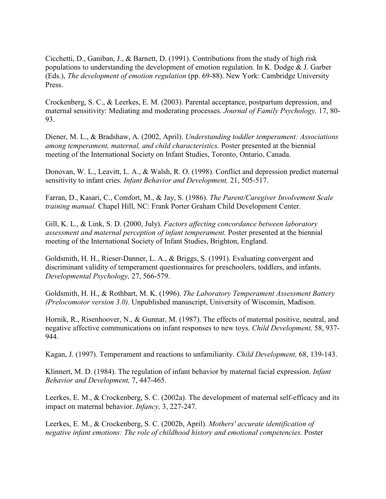Cicchetti, D., Ganiban, J., & Barnett, D. (1991). Contributions from the study of high risk populations to understanding the development of emotion regulation. In K. Dodge & J. Garber (Eds.), *The development of emotion regulation* (pp. 69-88). New York: Cambridge University Press.

Crockenberg, S. C., & Leerkes, E. M. (2003). Parental acceptance, postpartum depression, and maternal sensitivity: Mediating and moderating processes. *Journal of Family Psychology,* 17, 80- 93.

Diener, M. L., & Bradshaw, A. (2002, April). *Understanding toddler temperament: Associations among temperament, maternal, and child characteristics.* Poster presented at the biennial meeting of the International Society on Infant Studies, Toronto, Ontario, Canada.

Donovan, W. L., Leavitt, L. A., & Walsh, R. O. (1998). Conflict and depression predict maternal sensitivity to infant cries. *Infant Behavior and Development,* 21, 505-517.

Farran, D., Kasari, C., Comfort, M., & Jay, S. (1986). *The Parent/Caregiver Involvement Scale training manual.* Chapel Hill, NC: Frank Porter Graham Child Development Center.

Gill, K. L., & Link, S. D. (2000, July). *Factors affecting concordance between laboratory assessment and maternal perception of infant temperament.* Poster presented at the biennial meeting of the International Society of Infant Studies, Brighton, England.

Goldsmith, H. H., Rieser-Danner, L. A., & Briggs, S. (1991). Evaluating convergent and discriminant validity of temperament questionnaires for preschoolers, toddlers, and infants. *Developmental Psychology,* 27, 566-579.

Goldsmith, H. H., & Rothbart, M. K. (1996). *The Laboratory Temperament Assessment Battery (Prelocomotor version 3.0).* Unpublished manuscript, University of Wisconsin, Madison.

Hornik, R., Risenhoover, N., & Gunnar, M. (1987). The effects of maternal positive, neutral, and negative affective communications on infant responses to new toys. *Child Development,* 58, 937- 944.

Kagan, J. (1997). Temperament and reactions to unfamiliarity. *Child Development,* 68, 139-143.

Klinnert, M. D. (1984). The regulation of infant behavior by maternal facial expression. *Infant Behavior and Development,* 7, 447-465.

Leerkes, E. M., & Crockenberg, S. C. (2002a). The development of maternal self-efficacy and its impact on maternal behavior. *Infancy,* 3, 227-247.

Leerkes, E. M., & Crockenberg, S. C. (2002b, April). *Mothers' accurate identification of negative infant emotions: The role of childhood history and emotional competencies.* Poster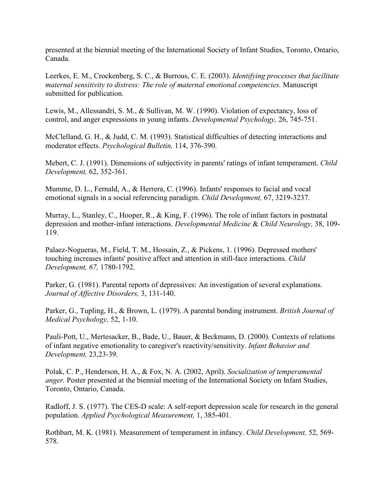presented at the biennial meeting of the International Society of Infant Studies, Toronto, Ontario, Canada.

Leerkes, E. M., Crockenberg, S. C., & Burrous, C. E. (2003). *Identifying processes that facilitate maternal sensitivity to distress: The role of maternal emotional competencies.* Manuscript submitted for publication.

Lewis, M., Allessandri, S. M., & Sullivan, M. W. (1990). Violation of expectancy, loss of control, and anger expressions in young infants. *Developmental Psychology,* 26, 745-751.

McClelland, G. H., & Judd, C. M. (1993). Statistical difficulties of detecting interactions and moderator effects. *Psychological Bulletin,* 114, 376-390.

Mebert, C. J. (1991). Dimensions of subjectivity in parents' ratings of infant temperament. *Child Development,* 62, 352-361.

Mumme, D. L., Fernald, A., & Herrera, C. (1996). Infants' responses to facial and vocal emotional signals in a social referencing paradigm. *Child Development,* 67, 3219-3237.

Murray, L., Stanley, C., Hooper, R., & King, F. (1996). The role of infant factors in postnatal depression and mother-infant interactions. *Developmental Medicine* & *Child Neurology,* 38, 109- 119.

Palaez-Nogueras, M., Field, T. M., Hossain, Z., & Pickens, 1. (1996). Depressed mothers' touching increases infants' positive affect and attention in still-face interactions. *Child Development, 67,* 1780-1792.

Parker, G. (1981). Parental reports of depressives: An investigation of several explanations. *Journal of Affective Disorders,* 3, 131-140.

Parker, G., Tupling, H., & Brown, L. (1979). A parental bonding instrument. *British Journal of Medical Psychology,* 52, 1-10.

Pauli-Pott, U., Mertesacker, B., Bade, U., Bauer, & Beckmann, D. (2000). Contexts of relations of infant negative emotionality to caregiver's reactivity/sensitivity. *Infant Behavior and Development,* 23,23-39.

Polak, C. P., Henderson, H. A., & Fox, N. A. (2002, April). *Socialization of temperamental anger.* Poster presented at the biennial meeting of the International Society on Infant Studies, Toronto, Ontario, Canada.

Radloff, J. S. (1977). The CES-D scale: A self-report depression scale for research in the general population. *Applied Psychological Measurement,* 1, 385-401.

Rothbart, M. K. (1981). Measurement of temperament in infancy. *Child Development,* 52, 569- 578.